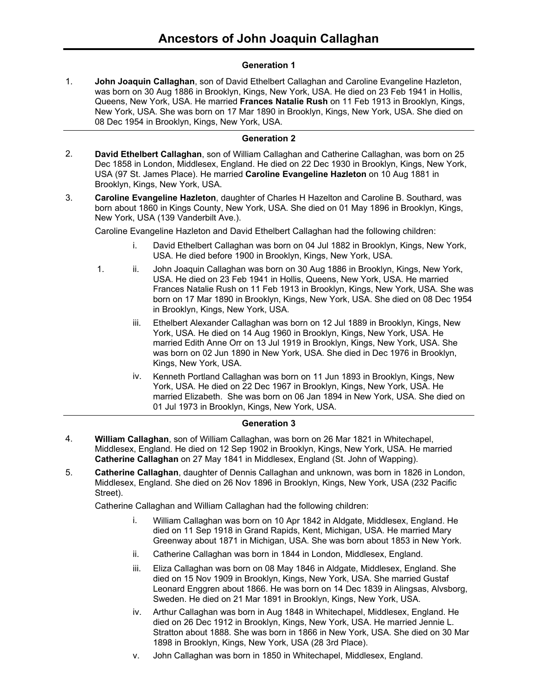# **Generation 1**

**John Joaquin Callaghan**, son of David Ethelbert Callaghan and Caroline Evangeline Hazleton, was born on 30 Aug 1886 in Brooklyn, Kings, New York, USA. He died on 23 Feb 1941 in Hollis, Queens, New York, USA. He married **Frances Natalie Rush** on 11 Feb 1913 in Brooklyn, Kings, New York, USA. She was born on 17 Mar 1890 in Brooklyn, Kings, New York, USA. She died on 08 Dec 1954 in Brooklyn, Kings, New York, USA. 1.

# **Generation 2**

- **David Ethelbert Callaghan**, son of William Callaghan and Catherine Callaghan, was born on 25 Dec 1858 in London, Middlesex, England. He died on 22 Dec 1930 in Brooklyn, Kings, New York, USA (97 St. James Place). He married **Caroline Evangeline Hazleton** on 10 Aug 1881 in Brooklyn, Kings, New York, USA. 2.
- **Caroline Evangeline Hazleton**, daughter of Charles H Hazelton and Caroline B. Southard, was born about 1860 in Kings County, New York, USA. She died on 01 May 1896 in Brooklyn, Kings, New York, USA (139 Vanderbilt Ave.). 3.

Caroline Evangeline Hazleton and David Ethelbert Callaghan had the following children:

- i. David Ethelbert Callaghan was born on 04 Jul 1882 in Brooklyn, Kings, New York, USA. He died before 1900 in Brooklyn, Kings, New York, USA.
- 1. ii. John Joaquin Callaghan was born on 30 Aug 1886 in Brooklyn, Kings, New York, USA. He died on 23 Feb 1941 in Hollis, Queens, New York, USA. He married Frances Natalie Rush on 11 Feb 1913 in Brooklyn, Kings, New York, USA. She was born on 17 Mar 1890 in Brooklyn, Kings, New York, USA. She died on 08 Dec 1954 in Brooklyn, Kings, New York, USA.
	- iii. Ethelbert Alexander Callaghan was born on 12 Jul 1889 in Brooklyn, Kings, New York, USA. He died on 14 Aug 1960 in Brooklyn, Kings, New York, USA. He married Edith Anne Orr on 13 Jul 1919 in Brooklyn, Kings, New York, USA. She was born on 02 Jun 1890 in New York, USA. She died in Dec 1976 in Brooklyn, Kings, New York, USA.
	- iv. Kenneth Portland Callaghan was born on 11 Jun 1893 in Brooklyn, Kings, New York, USA. He died on 22 Dec 1967 in Brooklyn, Kings, New York, USA. He married Elizabeth. She was born on 06 Jan 1894 in New York, USA. She died on 01 Jul 1973 in Brooklyn, Kings, New York, USA.

# **Generation 3**

- **William Callaghan**, son of William Callaghan, was born on 26 Mar 1821 in Whitechapel, Middlesex, England. He died on 12 Sep 1902 in Brooklyn, Kings, New York, USA. He married **Catherine Callaghan** on 27 May 1841 in Middlesex, England (St. John of Wapping). 4.
- **Catherine Callaghan**, daughter of Dennis Callaghan and unknown, was born in 1826 in London, Middlesex, England. She died on 26 Nov 1896 in Brooklyn, Kings, New York, USA (232 Pacific Street). 5.

Catherine Callaghan and William Callaghan had the following children:

- i. William Callaghan was born on 10 Apr 1842 in Aldgate, Middlesex, England. He died on 11 Sep 1918 in Grand Rapids, Kent, Michigan, USA. He married Mary Greenway about 1871 in Michigan, USA. She was born about 1853 in New York.
- ii. Catherine Callaghan was born in 1844 in London, Middlesex, England.
- iii. Eliza Callaghan was born on 08 May 1846 in Aldgate, Middlesex, England. She died on 15 Nov 1909 in Brooklyn, Kings, New York, USA. She married Gustaf Leonard Enggren about 1866. He was born on 14 Dec 1839 in Alingsas, Alvsborg, Sweden. He died on 21 Mar 1891 in Brooklyn, Kings, New York, USA.
- iv. Arthur Callaghan was born in Aug 1848 in Whitechapel, Middlesex, England. He died on 26 Dec 1912 in Brooklyn, Kings, New York, USA. He married Jennie L. Stratton about 1888. She was born in 1866 in New York, USA. She died on 30 Mar 1898 in Brooklyn, Kings, New York, USA (28 3rd Place).
- v. John Callaghan was born in 1850 in Whitechapel, Middlesex, England.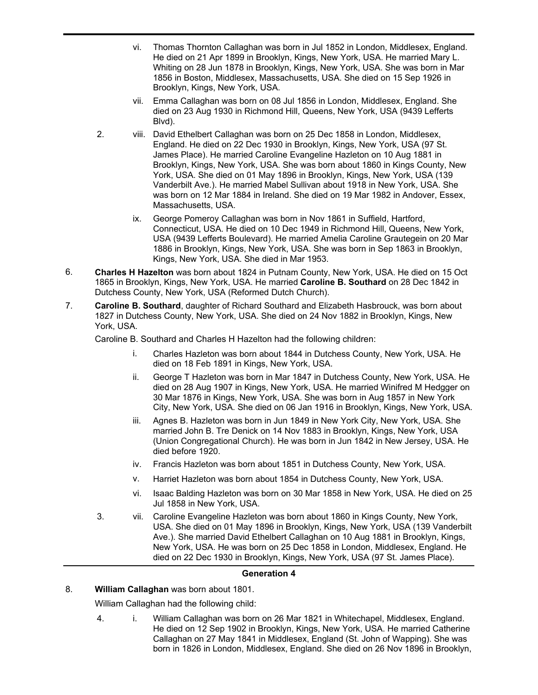- vi. Thomas Thornton Callaghan was born in Jul 1852 in London, Middlesex, England. He died on 21 Apr 1899 in Brooklyn, Kings, New York, USA. He married Mary L. Whiting on 28 Jun 1878 in Brooklyn, Kings, New York, USA. She was born in Mar 1856 in Boston, Middlesex, Massachusetts, USA. She died on 15 Sep 1926 in Brooklyn, Kings, New York, USA.
- vii. Emma Callaghan was born on 08 Jul 1856 in London, Middlesex, England. She died on 23 Aug 1930 in Richmond Hill, Queens, New York, USA (9439 Lefferts Blvd).
- 2. viii. David Ethelbert Callaghan was born on 25 Dec 1858 in London, Middlesex, England. He died on 22 Dec 1930 in Brooklyn, Kings, New York, USA (97 St. James Place). He married Caroline Evangeline Hazleton on 10 Aug 1881 in Brooklyn, Kings, New York, USA. She was born about 1860 in Kings County, New York, USA. She died on 01 May 1896 in Brooklyn, Kings, New York, USA (139 Vanderbilt Ave.). He married Mabel Sullivan about 1918 in New York, USA. She was born on 12 Mar 1884 in Ireland. She died on 19 Mar 1982 in Andover, Essex, Massachusetts, USA.
	- ix. George Pomeroy Callaghan was born in Nov 1861 in Suffield, Hartford, Connecticut, USA. He died on 10 Dec 1949 in Richmond Hill, Queens, New York, USA (9439 Lefferts Boulevard). He married Amelia Caroline Grautegein on 20 Mar 1886 in Brooklyn, Kings, New York, USA. She was born in Sep 1863 in Brooklyn, Kings, New York, USA. She died in Mar 1953.
- **Charles H Hazelton** was born about 1824 in Putnam County, New York, USA. He died on 15 Oct 1865 in Brooklyn, Kings, New York, USA. He married **Caroline B. Southard** on 28 Dec 1842 in Dutchess County, New York, USA (Reformed Dutch Church). 6.
- **Caroline B. Southard**, daughter of Richard Southard and Elizabeth Hasbrouck, was born about 1827 in Dutchess County, New York, USA. She died on 24 Nov 1882 in Brooklyn, Kings, New York, USA. 7.

Caroline B. Southard and Charles H Hazelton had the following children:

- i. Charles Hazleton was born about 1844 in Dutchess County, New York, USA. He died on 18 Feb 1891 in Kings, New York, USA.
- ii. George T Hazleton was born in Mar 1847 in Dutchess County, New York, USA. He died on 28 Aug 1907 in Kings, New York, USA. He married Winifred M Hedgger on 30 Mar 1876 in Kings, New York, USA. She was born in Aug 1857 in New York City, New York, USA. She died on 06 Jan 1916 in Brooklyn, Kings, New York, USA.
- iii. Agnes B. Hazleton was born in Jun 1849 in New York City, New York, USA. She married John B. Tre Denick on 14 Nov 1883 in Brooklyn, Kings, New York, USA (Union Congregational Church). He was born in Jun 1842 in New Jersey, USA. He died before 1920.
- iv. Francis Hazleton was born about 1851 in Dutchess County, New York, USA.
- v. Harriet Hazleton was born about 1854 in Dutchess County, New York, USA.
- vi. Isaac Balding Hazleton was born on 30 Mar 1858 in New York, USA. He died on 25 Jul 1858 in New York, USA.
- 3. vii. Caroline Evangeline Hazleton was born about 1860 in Kings County, New York, USA. She died on 01 May 1896 in Brooklyn, Kings, New York, USA (139 Vanderbilt Ave.). She married David Ethelbert Callaghan on 10 Aug 1881 in Brooklyn, Kings, New York, USA. He was born on 25 Dec 1858 in London, Middlesex, England. He died on 22 Dec 1930 in Brooklyn, Kings, New York, USA (97 St. James Place).

## **Generation 4**

# 8. **William Callaghan** was born about 1801.

William Callaghan had the following child:

4. i. William Callaghan was born on 26 Mar 1821 in Whitechapel, Middlesex, England. He died on 12 Sep 1902 in Brooklyn, Kings, New York, USA. He married Catherine Callaghan on 27 May 1841 in Middlesex, England (St. John of Wapping). She was born in 1826 in London, Middlesex, England. She died on 26 Nov 1896 in Brooklyn,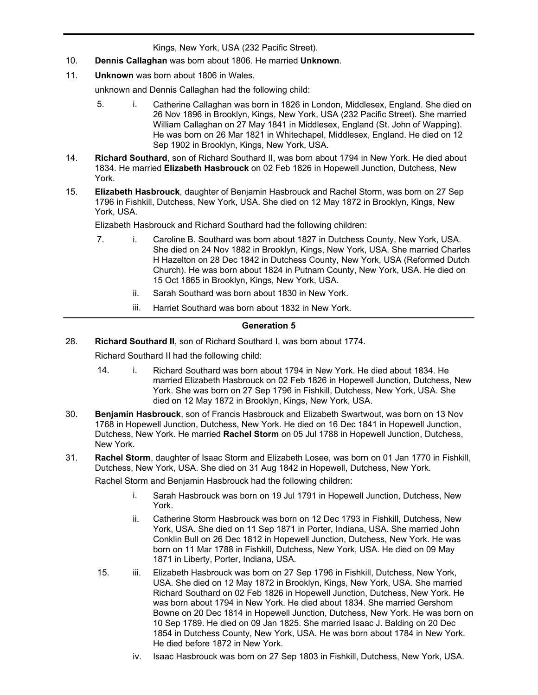born in 1826 in London, Middlesex, England. She died on 26 Nov 1896 in Brooklyn, Kings, New York, USA (232 Pacific Street).

- 10. **Dennis Callaghan** was born about 1806. He married **Unknown**.
- 11. **Unknown** was born about 1806 in Wales.

unknown and Dennis Callaghan had the following child:

- 5. i. Catherine Callaghan was born in 1826 in London, Middlesex, England. She died on 26 Nov 1896 in Brooklyn, Kings, New York, USA (232 Pacific Street). She married William Callaghan on 27 May 1841 in Middlesex, England (St. John of Wapping). He was born on 26 Mar 1821 in Whitechapel, Middlesex, England. He died on 12 Sep 1902 in Brooklyn, Kings, New York, USA.
- **Richard Southard**, son of Richard Southard II, was born about 1794 in New York. He died about 1834. He married **Elizabeth Hasbrouck** on 02 Feb 1826 in Hopewell Junction, Dutchess, New York. 14.
- **Elizabeth Hasbrouck**, daughter of Benjamin Hasbrouck and Rachel Storm, was born on 27 Sep 1796 in Fishkill, Dutchess, New York, USA. She died on 12 May 1872 in Brooklyn, Kings, New York, USA. 15.

Elizabeth Hasbrouck and Richard Southard had the following children:

- 7. i. Caroline B. Southard was born about 1827 in Dutchess County, New York, USA. She died on 24 Nov 1882 in Brooklyn, Kings, New York, USA. She married Charles H Hazelton on 28 Dec 1842 in Dutchess County, New York, USA (Reformed Dutch Church). He was born about 1824 in Putnam County, New York, USA. He died on 15 Oct 1865 in Brooklyn, Kings, New York, USA.
	- ii. Sarah Southard was born about 1830 in New York.
	- iii. Harriet Southard was born about 1832 in New York.

## **Generation 5**

28. **Richard Southard II**, son of Richard Southard I, was born about 1774.

Richard Southard II had the following child:

- 14. i. Richard Southard was born about 1794 in New York. He died about 1834. He married Elizabeth Hasbrouck on 02 Feb 1826 in Hopewell Junction, Dutchess, New York. She was born on 27 Sep 1796 in Fishkill, Dutchess, New York, USA. She died on 12 May 1872 in Brooklyn, Kings, New York, USA.
- **Benjamin Hasbrouck**, son of Francis Hasbrouck and Elizabeth Swartwout, was born on 13 Nov 1768 in Hopewell Junction, Dutchess, New York. He died on 16 Dec 1841 in Hopewell Junction, Dutchess, New York. He married **Rachel Storm** on 05 Jul 1788 in Hopewell Junction, Dutchess, New York. 30.
- **Rachel Storm**, daughter of Isaac Storm and Elizabeth Losee, was born on 01 Jan 1770 in Fishkill, Dutchess, New York, USA. She died on 31 Aug 1842 in Hopewell, Dutchess, New York. 31.

Rachel Storm and Benjamin Hasbrouck had the following children:

- i. Sarah Hasbrouck was born on 19 Jul 1791 in Hopewell Junction, Dutchess, New York.
- ii. Catherine Storm Hasbrouck was born on 12 Dec 1793 in Fishkill, Dutchess, New York, USA. She died on 11 Sep 1871 in Porter, Indiana, USA. She married John Conklin Bull on 26 Dec 1812 in Hopewell Junction, Dutchess, New York. He was born on 11 Mar 1788 in Fishkill, Dutchess, New York, USA. He died on 09 May 1871 in Liberty, Porter, Indiana, USA.
- 15. iii. Elizabeth Hasbrouck was born on 27 Sep 1796 in Fishkill, Dutchess, New York, USA. She died on 12 May 1872 in Brooklyn, Kings, New York, USA. She married Richard Southard on 02 Feb 1826 in Hopewell Junction, Dutchess, New York. He was born about 1794 in New York. He died about 1834. She married Gershom Bowne on 20 Dec 1814 in Hopewell Junction, Dutchess, New York. He was born on 10 Sep 1789. He died on 09 Jan 1825. She married Isaac J. Balding on 20 Dec 1854 in Dutchess County, New York, USA. He was born about 1784 in New York. He died before 1872 in New York.
	- iv. Isaac Hasbrouck was born on 27 Sep 1803 in Fishkill, Dutchess, New York, USA.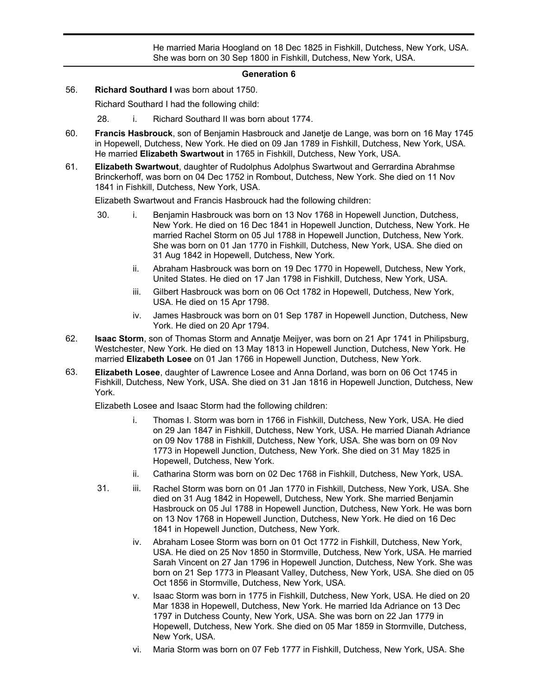iv. Isaac Hasbrouck was born on 27 Sep 1803 in Fishkill, Dutchess, New York, USA. He married Maria Hoogland on 18 Dec 1825 in Fishkill, Dutchess, New York, USA. She was born on 30 Sep 1800 in Fishkill, Dutchess, New York, USA.

#### **Generation 6**

56. **Richard Southard I** was born about 1750.

Richard Southard I had the following child:

28. i. Richard Southard II was born about 1774.

- **Francis Hasbrouck**, son of Benjamin Hasbrouck and Janetje de Lange, was born on 16 May 1745 in Hopewell, Dutchess, New York. He died on 09 Jan 1789 in Fishkill, Dutchess, New York, USA. He married **Elizabeth Swartwout** in 1765 in Fishkill, Dutchess, New York, USA. 60.
- **Elizabeth Swartwout**, daughter of Rudolphus Adolphus Swartwout and Gerrardina Abrahmse Brinckerhoff, was born on 04 Dec 1752 in Rombout, Dutchess, New York. She died on 11 Nov 1841 in Fishkill, Dutchess, New York, USA. 61.

Elizabeth Swartwout and Francis Hasbrouck had the following children:

- 30. i. Benjamin Hasbrouck was born on 13 Nov 1768 in Hopewell Junction, Dutchess, New York. He died on 16 Dec 1841 in Hopewell Junction, Dutchess, New York. He married Rachel Storm on 05 Jul 1788 in Hopewell Junction, Dutchess, New York. She was born on 01 Jan 1770 in Fishkill, Dutchess, New York, USA. She died on 31 Aug 1842 in Hopewell, Dutchess, New York.
	- ii. Abraham Hasbrouck was born on 19 Dec 1770 in Hopewell, Dutchess, New York, United States. He died on 17 Jan 1798 in Fishkill, Dutchess, New York, USA.
	- iii. Gilbert Hasbrouck was born on 06 Oct 1782 in Hopewell, Dutchess, New York, USA. He died on 15 Apr 1798.
	- iv. James Hasbrouck was born on 01 Sep 1787 in Hopewell Junction, Dutchess, New York. He died on 20 Apr 1794.
- **Isaac Storm**, son of Thomas Storm and Annatje Meijyer, was born on 21 Apr 1741 in Philipsburg, Westchester, New York. He died on 13 May 1813 in Hopewell Junction, Dutchess, New York. He married **Elizabeth Losee** on 01 Jan 1766 in Hopewell Junction, Dutchess, New York. 62.
- **Elizabeth Losee**, daughter of Lawrence Losee and Anna Dorland, was born on 06 Oct 1745 in Fishkill, Dutchess, New York, USA. She died on 31 Jan 1816 in Hopewell Junction, Dutchess, New York. 63.

Elizabeth Losee and Isaac Storm had the following children:

- i. Thomas I. Storm was born in 1766 in Fishkill, Dutchess, New York, USA. He died on 29 Jan 1847 in Fishkill, Dutchess, New York, USA. He married Dianah Adriance on 09 Nov 1788 in Fishkill, Dutchess, New York, USA. She was born on 09 Nov 1773 in Hopewell Junction, Dutchess, New York. She died on 31 May 1825 in Hopewell, Dutchess, New York.
- ii. Catharina Storm was born on 02 Dec 1768 in Fishkill, Dutchess, New York, USA.
- 31. iii. Rachel Storm was born on 01 Jan 1770 in Fishkill, Dutchess, New York, USA. She died on 31 Aug 1842 in Hopewell, Dutchess, New York. She married Benjamin Hasbrouck on 05 Jul 1788 in Hopewell Junction, Dutchess, New York. He was born on 13 Nov 1768 in Hopewell Junction, Dutchess, New York. He died on 16 Dec 1841 in Hopewell Junction, Dutchess, New York.
	- iv. Abraham Losee Storm was born on 01 Oct 1772 in Fishkill, Dutchess, New York, USA. He died on 25 Nov 1850 in Stormville, Dutchess, New York, USA. He married Sarah Vincent on 27 Jan 1796 in Hopewell Junction, Dutchess, New York. She was born on 21 Sep 1773 in Pleasant Valley, Dutchess, New York, USA. She died on 05 Oct 1856 in Stormville, Dutchess, New York, USA.
	- v. Isaac Storm was born in 1775 in Fishkill, Dutchess, New York, USA. He died on 20 Mar 1838 in Hopewell, Dutchess, New York. He married Ida Adriance on 13 Dec 1797 in Dutchess County, New York, USA. She was born on 22 Jan 1779 in Hopewell, Dutchess, New York. She died on 05 Mar 1859 in Stormville, Dutchess, New York, USA.
	- vi. Maria Storm was born on 07 Feb 1777 in Fishkill, Dutchess, New York, USA. She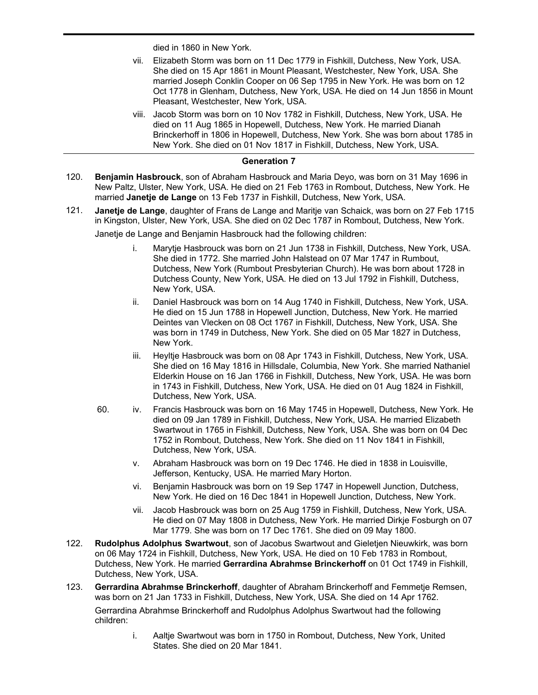died in 1860 in New York.

vii. Elizabeth Storm was born on 11 Dec 1779 in Fishkill, Dutchess, New York, USA. She died on 15 Apr 1861 in Mount Pleasant, Westchester, New York, USA. She married Joseph Conklin Cooper on 06 Sep 1795 in New York. He was born on 12 Oct 1778 in Glenham, Dutchess, New York, USA. He died on 14 Jun 1856 in Mount Pleasant, Westchester, New York, USA.

vi. Maria Storm was born on 07 Feb 1777 in Fishkill, Dutchess, New York, USA. She

viii. Jacob Storm was born on 10 Nov 1782 in Fishkill, Dutchess, New York, USA. He died on 11 Aug 1865 in Hopewell, Dutchess, New York. He married Dianah Brinckerhoff in 1806 in Hopewell, Dutchess, New York. She was born about 1785 in New York. She died on 01 Nov 1817 in Fishkill, Dutchess, New York, USA.

## **Generation 7**

- **Benjamin Hasbrouck**, son of Abraham Hasbrouck and Maria Deyo, was born on 31 May 1696 in New Paltz, Ulster, New York, USA. He died on 21 Feb 1763 in Rombout, Dutchess, New York. He married **Janetje de Lange** on 13 Feb 1737 in Fishkill, Dutchess, New York, USA. 120.
- **Janetje de Lange**, daughter of Frans de Lange and Maritje van Schaick, was born on 27 Feb 1715 in Kingston, Ulster, New York, USA. She died on 02 Dec 1787 in Rombout, Dutchess, New York. 121.

Janetje de Lange and Benjamin Hasbrouck had the following children:

- i. Marytje Hasbrouck was born on 21 Jun 1738 in Fishkill, Dutchess, New York, USA. She died in 1772. She married John Halstead on 07 Mar 1747 in Rumbout, Dutchess, New York (Rumbout Presbyterian Church). He was born about 1728 in Dutchess County, New York, USA. He died on 13 Jul 1792 in Fishkill, Dutchess, New York, USA.
- ii. Daniel Hasbrouck was born on 14 Aug 1740 in Fishkill, Dutchess, New York, USA. He died on 15 Jun 1788 in Hopewell Junction, Dutchess, New York. He married Deintes van Vlecken on 08 Oct 1767 in Fishkill, Dutchess, New York, USA. She was born in 1749 in Dutchess, New York. She died on 05 Mar 1827 in Dutchess, New York.
- iii. Heyltje Hasbrouck was born on 08 Apr 1743 in Fishkill, Dutchess, New York, USA. She died on 16 May 1816 in Hillsdale, Columbia, New York. She married Nathaniel Elderkin House on 16 Jan 1766 in Fishkill, Dutchess, New York, USA. He was born in 1743 in Fishkill, Dutchess, New York, USA. He died on 01 Aug 1824 in Fishkill, Dutchess, New York, USA.
- 60. iv. Francis Hasbrouck was born on 16 May 1745 in Hopewell, Dutchess, New York. He died on 09 Jan 1789 in Fishkill, Dutchess, New York, USA. He married Elizabeth Swartwout in 1765 in Fishkill, Dutchess, New York, USA. She was born on 04 Dec 1752 in Rombout, Dutchess, New York. She died on 11 Nov 1841 in Fishkill, Dutchess, New York, USA.
	- v. Abraham Hasbrouck was born on 19 Dec 1746. He died in 1838 in Louisville, Jefferson, Kentucky, USA. He married Mary Horton.
	- vi. Benjamin Hasbrouck was born on 19 Sep 1747 in Hopewell Junction, Dutchess, New York. He died on 16 Dec 1841 in Hopewell Junction, Dutchess, New York.
	- vii. Jacob Hasbrouck was born on 25 Aug 1759 in Fishkill, Dutchess, New York, USA. He died on 07 May 1808 in Dutchess, New York. He married Dirkje Fosburgh on 07 Mar 1779. She was born on 17 Dec 1761. She died on 09 May 1800.
- **Rudolphus Adolphus Swartwout**, son of Jacobus Swartwout and Gieletjen Nieuwkirk, was born on 06 May 1724 in Fishkill, Dutchess, New York, USA. He died on 10 Feb 1783 in Rombout, Dutchess, New York. He married **Gerrardina Abrahmse Brinckerhoff** on 01 Oct 1749 in Fishkill, Dutchess, New York, USA. 122.
- **Gerrardina Abrahmse Brinckerhoff**, daughter of Abraham Brinckerhoff and Femmetje Remsen, was born on 21 Jan 1733 in Fishkill, Dutchess, New York, USA. She died on 14 Apr 1762. 123. Gerrardina Abrahmse Brinckerhoff and Rudolphus Adolphus Swartwout had the following children:
	- i. Aaltje Swartwout was born in 1750 in Rombout, Dutchess, New York, United States. She died on 20 Mar 1841.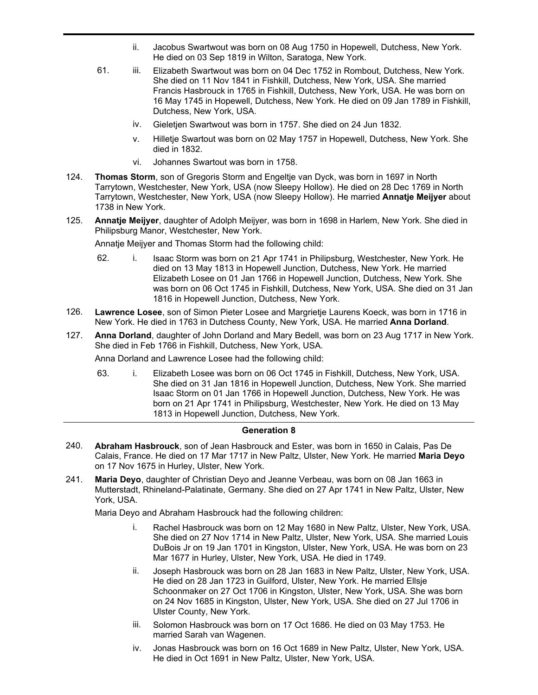- ii. Jacobus Swartwout was born on 08 Aug 1750 in Hopewell, Dutchess, New York. He died on 03 Sep 1819 in Wilton, Saratoga, New York.
- 61. iii. Elizabeth Swartwout was born on 04 Dec 1752 in Rombout, Dutchess, New York. She died on 11 Nov 1841 in Fishkill, Dutchess, New York, USA. She married Francis Hasbrouck in 1765 in Fishkill, Dutchess, New York, USA. He was born on 16 May 1745 in Hopewell, Dutchess, New York. He died on 09 Jan 1789 in Fishkill, Dutchess, New York, USA.
	- iv. Gieletjen Swartwout was born in 1757. She died on 24 Jun 1832.
	- v. Hilletje Swartout was born on 02 May 1757 in Hopewell, Dutchess, New York. She died in 1832.
	- vi. Johannes Swartout was born in 1758.
- **Thomas Storm**, son of Gregoris Storm and Engeltje van Dyck, was born in 1697 in North Tarrytown, Westchester, New York, USA (now Sleepy Hollow). He died on 28 Dec 1769 in North Tarrytown, Westchester, New York, USA (now Sleepy Hollow). He married **Annatje Meijyer** about 1738 in New York. 124.
- **Annatje Meijyer**, daughter of Adolph Meijyer, was born in 1698 in Harlem, New York. She died in Philipsburg Manor, Westchester, New York. 125.

Annatje Meijyer and Thomas Storm had the following child:

- 62. i. Isaac Storm was born on 21 Apr 1741 in Philipsburg, Westchester, New York. He died on 13 May 1813 in Hopewell Junction, Dutchess, New York. He married Elizabeth Losee on 01 Jan 1766 in Hopewell Junction, Dutchess, New York. She was born on 06 Oct 1745 in Fishkill, Dutchess, New York, USA. She died on 31 Jan 1816 in Hopewell Junction, Dutchess, New York.
- **Lawrence Losee**, son of Simon Pieter Losee and Margrietje Laurens Koeck, was born in 1716 in New York. He died in 1763 in Dutchess County, New York, USA. He married **Anna Dorland**. 126.
- **Anna Dorland**, daughter of John Dorland and Mary Bedell, was born on 23 Aug 1717 in New York. She died in Feb 1766 in Fishkill, Dutchess, New York, USA. 127.

Anna Dorland and Lawrence Losee had the following child:

63. i. Elizabeth Losee was born on 06 Oct 1745 in Fishkill, Dutchess, New York, USA. She died on 31 Jan 1816 in Hopewell Junction, Dutchess, New York. She married Isaac Storm on 01 Jan 1766 in Hopewell Junction, Dutchess, New York. He was born on 21 Apr 1741 in Philipsburg, Westchester, New York. He died on 13 May 1813 in Hopewell Junction, Dutchess, New York.

## **Generation 8**

- **Abraham Hasbrouck**, son of Jean Hasbrouck and Ester, was born in 1650 in Calais, Pas De Calais, France. He died on 17 Mar 1717 in New Paltz, Ulster, New York. He married **Maria Deyo** on 17 Nov 1675 in Hurley, Ulster, New York. 240.
- **Maria Deyo**, daughter of Christian Deyo and Jeanne Verbeau, was born on 08 Jan 1663 in Mutterstadt, Rhineland-Palatinate, Germany. She died on 27 Apr 1741 in New Paltz, Ulster, New York, USA. 241.

Maria Deyo and Abraham Hasbrouck had the following children:

- Rachel Hasbrouck was born on 12 May 1680 in New Paltz, Ulster, New York, USA. She died on 27 Nov 1714 in New Paltz, Ulster, New York, USA. She married Louis DuBois Jr on 19 Jan 1701 in Kingston, Ulster, New York, USA. He was born on 23 Mar 1677 in Hurley, Ulster, New York, USA. He died in 1749.
- ii. Joseph Hasbrouck was born on 28 Jan 1683 in New Paltz, Ulster, New York, USA. He died on 28 Jan 1723 in Guilford, Ulster, New York. He married Ellsje Schoonmaker on 27 Oct 1706 in Kingston, Ulster, New York, USA. She was born on 24 Nov 1685 in Kingston, Ulster, New York, USA. She died on 27 Jul 1706 in Ulster County, New York.
- iii. Solomon Hasbrouck was born on 17 Oct 1686. He died on 03 May 1753. He married Sarah van Wagenen.
- iv. Jonas Hasbrouck was born on 16 Oct 1689 in New Paltz, Ulster, New York, USA. He died in Oct 1691 in New Paltz, Ulster, New York, USA.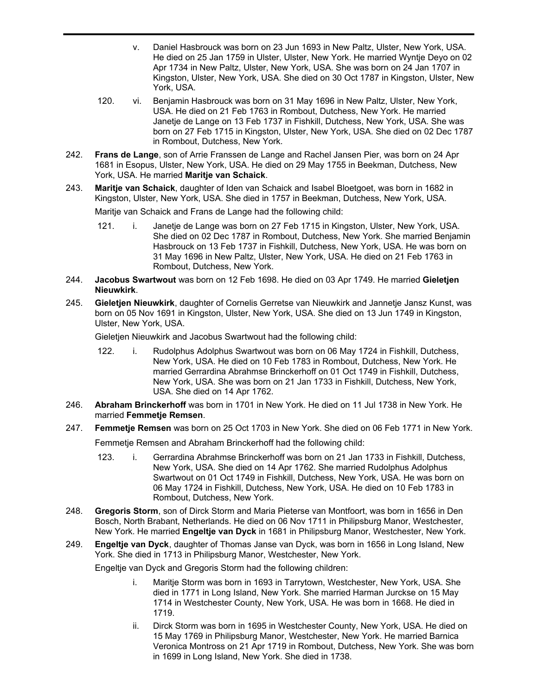- v. Daniel Hasbrouck was born on 23 Jun 1693 in New Paltz, Ulster, New York, USA. He died on 25 Jan 1759 in Ulster, Ulster, New York. He married Wyntje Deyo on 02 Apr 1734 in New Paltz, Ulster, New York, USA. She was born on 24 Jan 1707 in Kingston, Ulster, New York, USA. She died on 30 Oct 1787 in Kingston, Ulster, New York, USA.
- 120. vi. Benjamin Hasbrouck was born on 31 May 1696 in New Paltz, Ulster, New York, USA. He died on 21 Feb 1763 in Rombout, Dutchess, New York. He married Janetje de Lange on 13 Feb 1737 in Fishkill, Dutchess, New York, USA. She was born on 27 Feb 1715 in Kingston, Ulster, New York, USA. She died on 02 Dec 1787 in Rombout, Dutchess, New York.
- **Frans de Lange**, son of Arrie Franssen de Lange and Rachel Jansen Pier, was born on 24 Apr 1681 in Esopus, Ulster, New York, USA. He died on 29 May 1755 in Beekman, Dutchess, New York, USA. He married **Maritje van Schaick**. 242.
- **Maritje van Schaick**, daughter of Iden van Schaick and Isabel Bloetgoet, was born in 1682 in Kingston, Ulster, New York, USA. She died in 1757 in Beekman, Dutchess, New York, USA. 243.

Maritje van Schaick and Frans de Lange had the following child:

- 121. i. Janetje de Lange was born on 27 Feb 1715 in Kingston, Ulster, New York, USA. She died on 02 Dec 1787 in Rombout, Dutchess, New York. She married Benjamin Hasbrouck on 13 Feb 1737 in Fishkill, Dutchess, New York, USA. He was born on 31 May 1696 in New Paltz, Ulster, New York, USA. He died on 21 Feb 1763 in Rombout, Dutchess, New York.
- **Jacobus Swartwout** was born on 12 Feb 1698. He died on 03 Apr 1749. He married **Gieletjen Nieuwkirk**. 244.
- **Gieletjen Nieuwkirk**, daughter of Cornelis Gerretse van Nieuwkirk and Jannetje Jansz Kunst, was born on 05 Nov 1691 in Kingston, Ulster, New York, USA. She died on 13 Jun 1749 in Kingston, Ulster, New York, USA. 245.

Gieletjen Nieuwkirk and Jacobus Swartwout had the following child:

- 122. i. Rudolphus Adolphus Swartwout was born on 06 May 1724 in Fishkill, Dutchess, New York, USA. He died on 10 Feb 1783 in Rombout, Dutchess, New York. He married Gerrardina Abrahmse Brinckerhoff on 01 Oct 1749 in Fishkill, Dutchess, New York, USA. She was born on 21 Jan 1733 in Fishkill, Dutchess, New York, USA. She died on 14 Apr 1762.
- **Abraham Brinckerhoff** was born in 1701 in New York. He died on 11 Jul 1738 in New York. He married **Femmetje Remsen**. 246.
- 247. **Femmetje Remsen** was born on 25 Oct 1703 in New York. She died on 06 Feb 1771 in New York. Femmetje Remsen and Abraham Brinckerhoff had the following child:
	- 123. i. Gerrardina Abrahmse Brinckerhoff was born on 21 Jan 1733 in Fishkill, Dutchess, New York, USA. She died on 14 Apr 1762. She married Rudolphus Adolphus Swartwout on 01 Oct 1749 in Fishkill, Dutchess, New York, USA. He was born on 06 May 1724 in Fishkill, Dutchess, New York, USA. He died on 10 Feb 1783 in Rombout, Dutchess, New York.
- **Gregoris Storm**, son of Dirck Storm and Maria Pieterse van Montfoort, was born in 1656 in Den Bosch, North Brabant, Netherlands. He died on 06 Nov 1711 in Philipsburg Manor, Westchester, New York. He married **Engeltje van Dyck** in 1681 in Philipsburg Manor, Westchester, New York. 248.
- **Engeltje van Dyck**, daughter of Thomas Janse van Dyck, was born in 1656 in Long Island, New York. She died in 1713 in Philipsburg Manor, Westchester, New York. 249.

Engeltje van Dyck and Gregoris Storm had the following children:

- i. Maritje Storm was born in 1693 in Tarrytown, Westchester, New York, USA. She died in 1771 in Long Island, New York. She married Harman Jurckse on 15 May 1714 in Westchester County, New York, USA. He was born in 1668. He died in 1719.
- ii. Dirck Storm was born in 1695 in Westchester County, New York, USA. He died on 15 May 1769 in Philipsburg Manor, Westchester, New York. He married Barnica Veronica Montross on 21 Apr 1719 in Rombout, Dutchess, New York. She was born in 1699 in Long Island, New York. She died in 1738.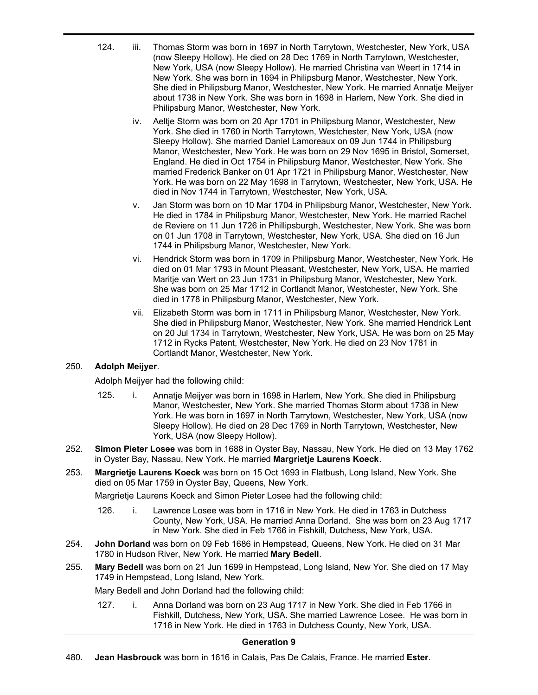- 124. iii. Thomas Storm was born in 1697 in North Tarrytown, Westchester, New York, USA (now Sleepy Hollow). He died on 28 Dec 1769 in North Tarrytown, Westchester, New York, USA (now Sleepy Hollow). He married Christina van Weert in 1714 in New York. She was born in 1694 in Philipsburg Manor, Westchester, New York. She died in Philipsburg Manor, Westchester, New York. He married Annatje Meijyer about 1738 in New York. She was born in 1698 in Harlem, New York. She died in Philipsburg Manor, Westchester, New York.
	- iv. Aeltje Storm was born on 20 Apr 1701 in Philipsburg Manor, Westchester, New York. She died in 1760 in North Tarrytown, Westchester, New York, USA (now Sleepy Hollow). She married Daniel Lamoreaux on 09 Jun 1744 in Philipsburg Manor, Westchester, New York. He was born on 29 Nov 1695 in Bristol, Somerset, England. He died in Oct 1754 in Philipsburg Manor, Westchester, New York. She married Frederick Banker on 01 Apr 1721 in Philipsburg Manor, Westchester, New York. He was born on 22 May 1698 in Tarrytown, Westchester, New York, USA. He died in Nov 1744 in Tarrytown, Westchester, New York, USA.
	- v. Jan Storm was born on 10 Mar 1704 in Philipsburg Manor, Westchester, New York. He died in 1784 in Philipsburg Manor, Westchester, New York. He married Rachel de Reviere on 11 Jun 1726 in Phillipsburgh, Westchester, New York. She was born on 01 Jun 1708 in Tarrytown, Westchester, New York, USA. She died on 16 Jun 1744 in Philipsburg Manor, Westchester, New York.
	- vi. Hendrick Storm was born in 1709 in Philipsburg Manor, Westchester, New York. He died on 01 Mar 1793 in Mount Pleasant, Westchester, New York, USA. He married Maritje van Wert on 23 Jun 1731 in Philipsburg Manor, Westchester, New York. She was born on 25 Mar 1712 in Cortlandt Manor, Westchester, New York. She died in 1778 in Philipsburg Manor, Westchester, New York.
	- vii. Elizabeth Storm was born in 1711 in Philipsburg Manor, Westchester, New York. She died in Philipsburg Manor, Westchester, New York. She married Hendrick Lent on 20 Jul 1734 in Tarrytown, Westchester, New York, USA. He was born on 25 May 1712 in Rycks Patent, Westchester, New York. He died on 23 Nov 1781 in Cortlandt Manor, Westchester, New York.

# 250. **Adolph Meijyer**.

Adolph Meijyer had the following child:

- 125. i. Annatje Meijyer was born in 1698 in Harlem, New York. She died in Philipsburg Manor, Westchester, New York. She married Thomas Storm about 1738 in New York. He was born in 1697 in North Tarrytown, Westchester, New York, USA (now Sleepy Hollow). He died on 28 Dec 1769 in North Tarrytown, Westchester, New York, USA (now Sleepy Hollow).
- **Simon Pieter Losee** was born in 1688 in Oyster Bay, Nassau, New York. He died on 13 May 1762 in Oyster Bay, Nassau, New York. He married **Margrietje Laurens Koeck**. 252.
- **Margrietje Laurens Koeck** was born on 15 Oct 1693 in Flatbush, Long Island, New York. She died on 05 Mar 1759 in Oyster Bay, Queens, New York. 253.

Margrietje Laurens Koeck and Simon Pieter Losee had the following child:

- 126. i. Lawrence Losee was born in 1716 in New York. He died in 1763 in Dutchess County, New York, USA. He married Anna Dorland. She was born on 23 Aug 1717 in New York. She died in Feb 1766 in Fishkill, Dutchess, New York, USA.
- **John Dorland** was born on 09 Feb 1686 in Hempstead, Queens, New York. He died on 31 Mar 1780 in Hudson River, New York. He married **Mary Bedell**. 254.
- **Mary Bedell** was born on 21 Jun 1699 in Hempstead, Long Island, New Yor. She died on 17 May 1749 in Hempstead, Long Island, New York. 255.

Mary Bedell and John Dorland had the following child:

127. i. Anna Dorland was born on 23 Aug 1717 in New York. She died in Feb 1766 in Fishkill, Dutchess, New York, USA. She married Lawrence Losee. He was born in 1716 in New York. He died in 1763 in Dutchess County, New York, USA.

# **Generation 9**

480. **Jean Hasbrouck** was born in 1616 in Calais, Pas De Calais, France. He married **Ester**.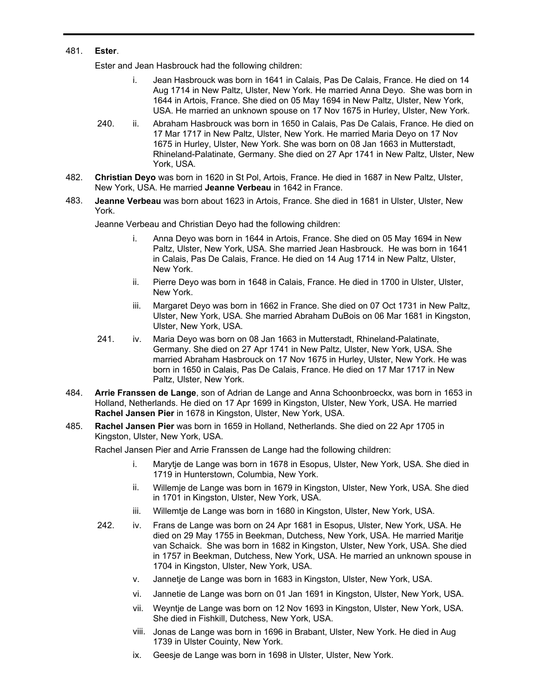## 481. **Ester**.

480.

Ester and Jean Hasbrouck had the following children:

- i. Jean Hasbrouck was born in 1641 in Calais, Pas De Calais, France. He died on 14 Aug 1714 in New Paltz, Ulster, New York. He married Anna Deyo. She was born in 1644 in Artois, France. She died on 05 May 1694 in New Paltz, Ulster, New York, USA. He married an unknown spouse on 17 Nov 1675 in Hurley, Ulster, New York.
- 240. ii. Abraham Hasbrouck was born in 1650 in Calais, Pas De Calais, France. He died on 17 Mar 1717 in New Paltz, Ulster, New York. He married Maria Deyo on 17 Nov 1675 in Hurley, Ulster, New York. She was born on 08 Jan 1663 in Mutterstadt, Rhineland-Palatinate, Germany. She died on 27 Apr 1741 in New Paltz, Ulster, New York, USA.
- **Christian Deyo** was born in 1620 in St Pol, Artois, France. He died in 1687 in New Paltz, Ulster, New York, USA. He married **Jeanne Verbeau** in 1642 in France. 482.
- **Jeanne Verbeau** was born about 1623 in Artois, France. She died in 1681 in Ulster, Ulster, New York. 483.

Jeanne Verbeau and Christian Deyo had the following children:

- i. Anna Deyo was born in 1644 in Artois, France. She died on 05 May 1694 in New Paltz, Ulster, New York, USA. She married Jean Hasbrouck. He was born in 1641 in Calais, Pas De Calais, France. He died on 14 Aug 1714 in New Paltz, Ulster, New York.
- ii. Pierre Deyo was born in 1648 in Calais, France. He died in 1700 in Ulster, Ulster, New York.
- iii. Margaret Deyo was born in 1662 in France. She died on 07 Oct 1731 in New Paltz, Ulster, New York, USA. She married Abraham DuBois on 06 Mar 1681 in Kingston, Ulster, New York, USA.
- 241. iv. Maria Deyo was born on 08 Jan 1663 in Mutterstadt, Rhineland-Palatinate, Germany. She died on 27 Apr 1741 in New Paltz, Ulster, New York, USA. She married Abraham Hasbrouck on 17 Nov 1675 in Hurley, Ulster, New York. He was born in 1650 in Calais, Pas De Calais, France. He died on 17 Mar 1717 in New Paltz, Ulster, New York.
- **Arrie Franssen de Lange**, son of Adrian de Lange and Anna Schoonbroeckx, was born in 1653 in Holland, Netherlands. He died on 17 Apr 1699 in Kingston, Ulster, New York, USA. He married **Rachel Jansen Pier** in 1678 in Kingston, Ulster, New York, USA. 484.
- **Rachel Jansen Pier** was born in 1659 in Holland, Netherlands. She died on 22 Apr 1705 in Kingston, Ulster, New York, USA. 485.

Rachel Jansen Pier and Arrie Franssen de Lange had the following children:

- i. Marytje de Lange was born in 1678 in Esopus, Ulster, New York, USA. She died in 1719 in Hunterstown, Columbia, New York.
- ii. Willemje de Lange was born in 1679 in Kingston, Ulster, New York, USA. She died in 1701 in Kingston, Ulster, New York, USA.
- iii. Willemtje de Lange was born in 1680 in Kingston, Ulster, New York, USA.
- 242. iv. Frans de Lange was born on 24 Apr 1681 in Esopus, Ulster, New York, USA. He died on 29 May 1755 in Beekman, Dutchess, New York, USA. He married Maritje van Schaick. She was born in 1682 in Kingston, Ulster, New York, USA. She died in 1757 in Beekman, Dutchess, New York, USA. He married an unknown spouse in 1704 in Kingston, Ulster, New York, USA.
	- v. Jannetje de Lange was born in 1683 in Kingston, Ulster, New York, USA.
	- vi. Jannetie de Lange was born on 01 Jan 1691 in Kingston, Ulster, New York, USA.
	- vii. Weyntje de Lange was born on 12 Nov 1693 in Kingston, Ulster, New York, USA. She died in Fishkill, Dutchess, New York, USA.
	- viii. Jonas de Lange was born in 1696 in Brabant, Ulster, New York. He died in Aug 1739 in Ulster Couinty, New York.
	- ix. Geesje de Lange was born in 1698 in Ulster, Ulster, New York.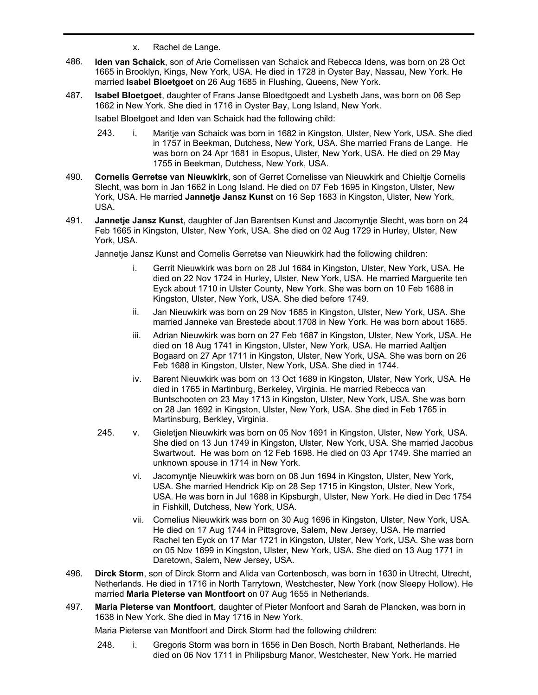- x. Rachel de Lange.
- **Iden van Schaick**, son of Arie Cornelissen van Schaick and Rebecca Idens, was born on 28 Oct 1665 in Brooklyn, Kings, New York, USA. He died in 1728 in Oyster Bay, Nassau, New York. He married **Isabel Bloetgoet** on 26 Aug 1685 in Flushing, Queens, New York. 486.
- **Isabel Bloetgoet**, daughter of Frans Janse Bloedtgoedt and Lysbeth Jans, was born on 06 Sep 1662 in New York. She died in 1716 in Oyster Bay, Long Island, New York. 487.

Isabel Bloetgoet and Iden van Schaick had the following child:

- 243. i. Maritje van Schaick was born in 1682 in Kingston, Ulster, New York, USA. She died in 1757 in Beekman, Dutchess, New York, USA. She married Frans de Lange. He was born on 24 Apr 1681 in Esopus, Ulster, New York, USA. He died on 29 May 1755 in Beekman, Dutchess, New York, USA.
- **Cornelis Gerretse van Nieuwkirk**, son of Gerret Cornelisse van Nieuwkirk and Chieltje Cornelis Slecht, was born in Jan 1662 in Long Island. He died on 07 Feb 1695 in Kingston, Ulster, New York, USA. He married **Jannetje Jansz Kunst** on 16 Sep 1683 in Kingston, Ulster, New York, USA. 490.
- **Jannetje Jansz Kunst**, daughter of Jan Barentsen Kunst and Jacomyntje Slecht, was born on 24 Feb 1665 in Kingston, Ulster, New York, USA. She died on 02 Aug 1729 in Hurley, Ulster, New York, USA. 491.

Jannetje Jansz Kunst and Cornelis Gerretse van Nieuwkirk had the following children:

- i. Gerrit Nieuwkirk was born on 28 Jul 1684 in Kingston, Ulster, New York, USA. He died on 22 Nov 1724 in Hurley, Ulster, New York, USA. He married Marguerite ten Eyck about 1710 in Ulster County, New York. She was born on 10 Feb 1688 in Kingston, Ulster, New York, USA. She died before 1749.
- ii. Jan Nieuwkirk was born on 29 Nov 1685 in Kingston, Ulster, New York, USA. She married Janneke van Brestede about 1708 in New York. He was born about 1685.
- iii. Adrian Nieuwkirk was born on 27 Feb 1687 in Kingston, Ulster, New York, USA. He died on 18 Aug 1741 in Kingston, Ulster, New York, USA. He married Aaltjen Bogaard on 27 Apr 1711 in Kingston, Ulster, New York, USA. She was born on 26 Feb 1688 in Kingston, Ulster, New York, USA. She died in 1744.
- iv. Barent Nieuwkirk was born on 13 Oct 1689 in Kingston, Ulster, New York, USA. He died in 1765 in Martinburg, Berkeley, Virginia. He married Rebecca van Buntschooten on 23 May 1713 in Kingston, Ulster, New York, USA. She was born on 28 Jan 1692 in Kingston, Ulster, New York, USA. She died in Feb 1765 in Martinsburg, Berkley, Virginia.
- 245. v. Gieletjen Nieuwkirk was born on 05 Nov 1691 in Kingston, Ulster, New York, USA. She died on 13 Jun 1749 in Kingston, Ulster, New York, USA. She married Jacobus Swartwout. He was born on 12 Feb 1698. He died on 03 Apr 1749. She married an unknown spouse in 1714 in New York.
	- vi. Jacomyntje Nieuwkirk was born on 08 Jun 1694 in Kingston, Ulster, New York, USA. She married Hendrick Kip on 28 Sep 1715 in Kingston, Ulster, New York, USA. He was born in Jul 1688 in Kipsburgh, Ulster, New York. He died in Dec 1754 in Fishkill, Dutchess, New York, USA.
	- vii. Cornelius Nieuwkirk was born on 30 Aug 1696 in Kingston, Ulster, New York, USA. He died on 17 Aug 1744 in Pittsgrove, Salem, New Jersey, USA. He married Rachel ten Eyck on 17 Mar 1721 in Kingston, Ulster, New York, USA. She was born on 05 Nov 1699 in Kingston, Ulster, New York, USA. She died on 13 Aug 1771 in Daretown, Salem, New Jersey, USA.
- **Dirck Storm**, son of Dirck Storm and Alida van Cortenbosch, was born in 1630 in Utrecht, Utrecht, Netherlands. He died in 1716 in North Tarrytown, Westchester, New York (now Sleepy Hollow). He married **Maria Pieterse van Montfoort** on 07 Aug 1655 in Netherlands. 496.
- **Maria Pieterse van Montfoort**, daughter of Pieter Monfoort and Sarah de Plancken, was born in 1638 in New York. She died in May 1716 in New York. 497.

Maria Pieterse van Montfoort and Dirck Storm had the following children:

248. i. Gregoris Storm was born in 1656 in Den Bosch, North Brabant, Netherlands. He died on 06 Nov 1711 in Philipsburg Manor, Westchester, New York. He married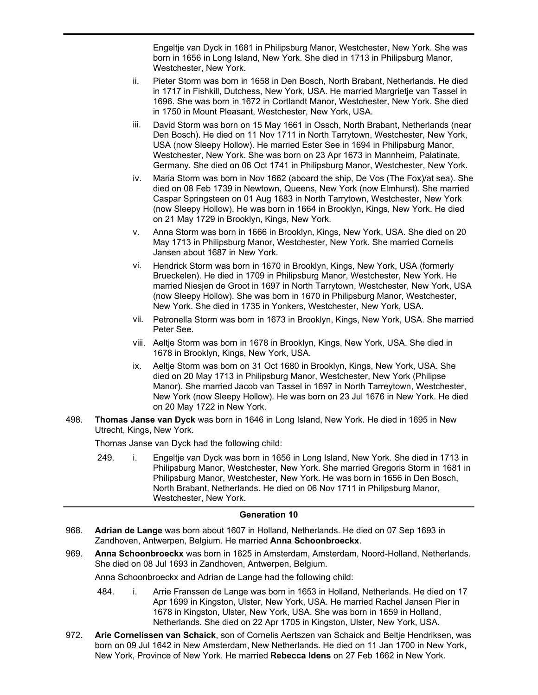died on 06 Nov 1711 in Philipsburg Manor, Westchester, New York. He married Engeltje van Dyck in 1681 in Philipsburg Manor, Westchester, New York. She was born in 1656 in Long Island, New York. She died in 1713 in Philipsburg Manor, Westchester, New York.

- ii. Pieter Storm was born in 1658 in Den Bosch, North Brabant, Netherlands. He died in 1717 in Fishkill, Dutchess, New York, USA. He married Margrietje van Tassel in 1696. She was born in 1672 in Cortlandt Manor, Westchester, New York. She died in 1750 in Mount Pleasant, Westchester, New York, USA.
- iii. David Storm was born on 15 May 1661 in Ossch, North Brabant, Netherlands (near Den Bosch). He died on 11 Nov 1711 in North Tarrytown, Westchester, New York, USA (now Sleepy Hollow). He married Ester See in 1694 in Philipsburg Manor, Westchester, New York. She was born on 23 Apr 1673 in Mannheim, Palatinate, Germany. She died on 06 Oct 1741 in Philipsburg Manor, Westchester, New York.
- iv. Maria Storm was born in Nov 1662 (aboard the ship, De Vos (The Fox)/at sea). She died on 08 Feb 1739 in Newtown, Queens, New York (now Elmhurst). She married Caspar Springsteen on 01 Aug 1683 in North Tarrytown, Westchester, New York (now Sleepy Hollow). He was born in 1664 in Brooklyn, Kings, New York. He died on 21 May 1729 in Brooklyn, Kings, New York.
- v. Anna Storm was born in 1666 in Brooklyn, Kings, New York, USA. She died on 20 May 1713 in Philipsburg Manor, Westchester, New York. She married Cornelis Jansen about 1687 in New York.
- vi. Hendrick Storm was born in 1670 in Brooklyn, Kings, New York, USA (formerly Brueckelen). He died in 1709 in Philipsburg Manor, Westchester, New York. He married Niesjen de Groot in 1697 in North Tarrytown, Westchester, New York, USA (now Sleepy Hollow). She was born in 1670 in Philipsburg Manor, Westchester, New York. She died in 1735 in Yonkers, Westchester, New York, USA.
- vii. Petronella Storm was born in 1673 in Brooklyn, Kings, New York, USA. She married Peter See.
- viii. Aeltje Storm was born in 1678 in Brooklyn, Kings, New York, USA. She died in 1678 in Brooklyn, Kings, New York, USA.
- ix. Aeltje Storm was born on 31 Oct 1680 in Brooklyn, Kings, New York, USA. She died on 20 May 1713 in Philipsburg Manor, Westchester, New York (Philipse Manor). She married Jacob van Tassel in 1697 in North Tarreytown, Westchester, New York (now Sleepy Hollow). He was born on 23 Jul 1676 in New York. He died on 20 May 1722 in New York.
- **Thomas Janse van Dyck** was born in 1646 in Long Island, New York. He died in 1695 in New Utrecht, Kings, New York. 498.

Thomas Janse van Dyck had the following child:

249. i. Engeltje van Dyck was born in 1656 in Long Island, New York. She died in 1713 in Philipsburg Manor, Westchester, New York. She married Gregoris Storm in 1681 in Philipsburg Manor, Westchester, New York. He was born in 1656 in Den Bosch, North Brabant, Netherlands. He died on 06 Nov 1711 in Philipsburg Manor, Westchester, New York.

## **Generation 10**

- **Adrian de Lange** was born about 1607 in Holland, Netherlands. He died on 07 Sep 1693 in Zandhoven, Antwerpen, Belgium. He married **Anna Schoonbroeckx**. 968.
- **Anna Schoonbroeckx** was born in 1625 in Amsterdam, Amsterdam, Noord-Holland, Netherlands. She died on 08 Jul 1693 in Zandhoven, Antwerpen, Belgium. 969.

Anna Schoonbroeckx and Adrian de Lange had the following child:

- 484. i. Arrie Franssen de Lange was born in 1653 in Holland, Netherlands. He died on 17 Apr 1699 in Kingston, Ulster, New York, USA. He married Rachel Jansen Pier in 1678 in Kingston, Ulster, New York, USA. She was born in 1659 in Holland, Netherlands. She died on 22 Apr 1705 in Kingston, Ulster, New York, USA.
- **Arie Cornelissen van Schaick**, son of Cornelis Aertszen van Schaick and Beltje Hendriksen, was born on 09 Jul 1642 in New Amsterdam, New Netherlands. He died on 11 Jan 1700 in New York, New York, Province of New York. He married **Rebecca Idens** on 27 Feb 1662 in New York. 972.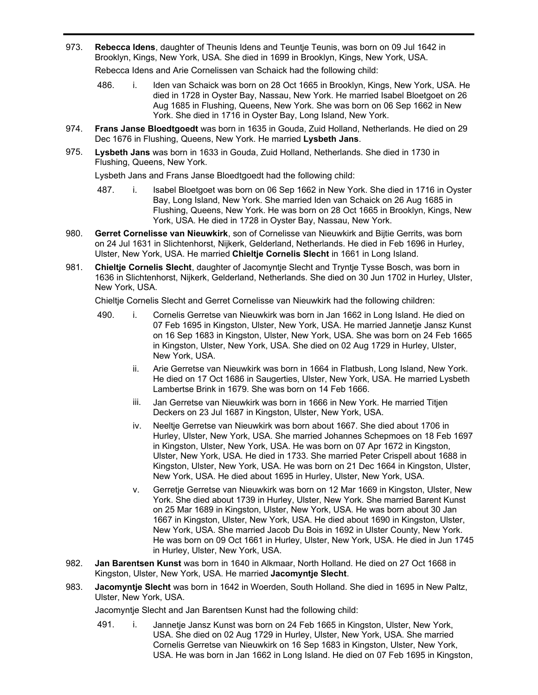**Rebecca Idens**, daughter of Theunis Idens and Teuntje Teunis, was born on 09 Jul 1642 in Brooklyn, Kings, New York, USA. She died in 1699 in Brooklyn, Kings, New York, USA. 973.

Rebecca Idens and Arie Cornelissen van Schaick had the following child:

- 486. i. Iden van Schaick was born on 28 Oct 1665 in Brooklyn, Kings, New York, USA. He died in 1728 in Oyster Bay, Nassau, New York. He married Isabel Bloetgoet on 26 Aug 1685 in Flushing, Queens, New York. She was born on 06 Sep 1662 in New York. She died in 1716 in Oyster Bay, Long Island, New York.
- **Frans Janse Bloedtgoedt** was born in 1635 in Gouda, Zuid Holland, Netherlands. He died on 29 Dec 1676 in Flushing, Queens, New York. He married **Lysbeth Jans**. 974.
- **Lysbeth Jans** was born in 1633 in Gouda, Zuid Holland, Netherlands. She died in 1730 in Flushing, Queens, New York. 975.

Lysbeth Jans and Frans Janse Bloedtgoedt had the following child:

- 487. i. Isabel Bloetgoet was born on 06 Sep 1662 in New York. She died in 1716 in Oyster Bay, Long Island, New York. She married Iden van Schaick on 26 Aug 1685 in Flushing, Queens, New York. He was born on 28 Oct 1665 in Brooklyn, Kings, New York, USA. He died in 1728 in Oyster Bay, Nassau, New York.
- **Gerret Cornelisse van Nieuwkirk**, son of Cornelisse van Nieuwkirk and Bijtie Gerrits, was born on 24 Jul 1631 in Slichtenhorst, Nijkerk, Gelderland, Netherlands. He died in Feb 1696 in Hurley, Ulster, New York, USA. He married **Chieltje Cornelis Slecht** in 1661 in Long Island. 980.
- **Chieltje Cornelis Slecht**, daughter of Jacomyntje Slecht and Tryntje Tysse Bosch, was born in 1636 in Slichtenhorst, Nijkerk, Gelderland, Netherlands. She died on 30 Jun 1702 in Hurley, Ulster, New York, USA. 981.

Chieltje Cornelis Slecht and Gerret Cornelisse van Nieuwkirk had the following children:

- 490. i. Cornelis Gerretse van Nieuwkirk was born in Jan 1662 in Long Island. He died on 07 Feb 1695 in Kingston, Ulster, New York, USA. He married Jannetje Jansz Kunst on 16 Sep 1683 in Kingston, Ulster, New York, USA. She was born on 24 Feb 1665 in Kingston, Ulster, New York, USA. She died on 02 Aug 1729 in Hurley, Ulster, New York, USA.
	- ii. Arie Gerretse van Nieuwkirk was born in 1664 in Flatbush, Long Island, New York. He died on 17 Oct 1686 in Saugerties, Ulster, New York, USA. He married Lysbeth Lambertse Brink in 1679. She was born on 14 Feb 1666.
	- iii. Jan Gerretse van Nieuwkirk was born in 1666 in New York. He married Titjen Deckers on 23 Jul 1687 in Kingston, Ulster, New York, USA.
	- iv. Neeltje Gerretse van Nieuwkirk was born about 1667. She died about 1706 in Hurley, Ulster, New York, USA. She married Johannes Schepmoes on 18 Feb 1697 in Kingston, Ulster, New York, USA. He was born on 07 Apr 1672 in Kingston, Ulster, New York, USA. He died in 1733. She married Peter Crispell about 1688 in Kingston, Ulster, New York, USA. He was born on 21 Dec 1664 in Kingston, Ulster, New York, USA. He died about 1695 in Hurley, Ulster, New York, USA.
	- v. Gerretje Gerretse van Nieuwkirk was born on 12 Mar 1669 in Kingston, Ulster, New York. She died about 1739 in Hurley, Ulster, New York. She married Barent Kunst on 25 Mar 1689 in Kingston, Ulster, New York, USA. He was born about 30 Jan 1667 in Kingston, Ulster, New York, USA. He died about 1690 in Kingston, Ulster, New York, USA. She married Jacob Du Bois in 1692 in Ulster County, New York. He was born on 09 Oct 1661 in Hurley, Ulster, New York, USA. He died in Jun 1745 in Hurley, Ulster, New York, USA.
- **Jan Barentsen Kunst** was born in 1640 in Alkmaar, North Holland. He died on 27 Oct 1668 in Kingston, Ulster, New York, USA. He married **Jacomyntje Slecht**. 982.
- **Jacomyntje Slecht** was born in 1642 in Woerden, South Holland. She died in 1695 in New Paltz, Ulster, New York, USA. 983.

Jacomyntje Slecht and Jan Barentsen Kunst had the following child:

491. i. Jannetje Jansz Kunst was born on 24 Feb 1665 in Kingston, Ulster, New York, USA. She died on 02 Aug 1729 in Hurley, Ulster, New York, USA. She married Cornelis Gerretse van Nieuwkirk on 16 Sep 1683 in Kingston, Ulster, New York, USA. He was born in Jan 1662 in Long Island. He died on 07 Feb 1695 in Kingston,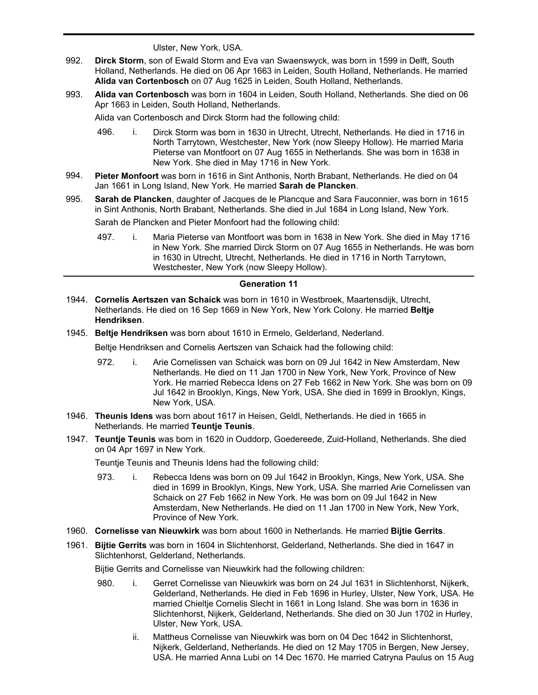USA. He was born in Jan 1662 in Long Island. He died on 07 Feb 1695 in Kingston, Ulster, New York, USA.

- **Dirck Storm**, son of Ewald Storm and Eva van Swaenswyck, was born in 1599 in Delft, South Holland, Netherlands. He died on 06 Apr 1663 in Leiden, South Holland, Netherlands. He married **Alida van Cortenbosch** on 07 Aug 1625 in Leiden, South Holland, Netherlands. 992.
- **Alida van Cortenbosch** was born in 1604 in Leiden, South Holland, Netherlands. She died on 06 Apr 1663 in Leiden, South Holland, Netherlands. 993.

Alida van Cortenbosch and Dirck Storm had the following child:

- 496. i. Dirck Storm was born in 1630 in Utrecht, Utrecht, Netherlands. He died in 1716 in North Tarrytown, Westchester, New York (now Sleepy Hollow). He married Maria Pieterse van Montfoort on 07 Aug 1655 in Netherlands. She was born in 1638 in New York. She died in May 1716 in New York.
- **Pieter Monfoort** was born in 1616 in Sint Anthonis, North Brabant, Netherlands. He died on 04 Jan 1661 in Long Island, New York. He married **Sarah de Plancken**. 994.
- **Sarah de Plancken**, daughter of Jacques de le Plancque and Sara Fauconnier, was born in 1615 in Sint Anthonis, North Brabant, Netherlands. She died in Jul 1684 in Long Island, New York. 995.

Sarah de Plancken and Pieter Monfoort had the following child:

497. i. Maria Pieterse van Montfoort was born in 1638 in New York. She died in May 1716 in New York. She married Dirck Storm on 07 Aug 1655 in Netherlands. He was born in 1630 in Utrecht, Utrecht, Netherlands. He died in 1716 in North Tarrytown, Westchester, New York (now Sleepy Hollow).

#### **Generation 11**

- **Cornelis Aertszen van Schaick** was born in 1610 in Westbroek, Maartensdijk, Utrecht, 1944. Netherlands. He died on 16 Sep 1669 in New York, New York Colony. He married **Beltje Hendriksen**.
- 1945. **Beltje Hendriksen** was born about 1610 in Ermelo, Gelderland, Nederland.

Beltje Hendriksen and Cornelis Aertszen van Schaick had the following child:

- 972. i. Arie Cornelissen van Schaick was born on 09 Jul 1642 in New Amsterdam, New Netherlands. He died on 11 Jan 1700 in New York, New York, Province of New York. He married Rebecca Idens on 27 Feb 1662 in New York. She was born on 09 Jul 1642 in Brooklyn, Kings, New York, USA. She died in 1699 in Brooklyn, Kings, New York, USA.
- **Theunis Idens** was born about 1617 in Heisen, Geldl, Netherlands. He died in 1665 in 1946. Netherlands. He married **Teuntje Teunis**.
- **Teuntje Teunis** was born in 1620 in Ouddorp, Goedereede, Zuid-Holland, Netherlands. She died 1947. on 04 Apr 1697 in New York.

Teuntje Teunis and Theunis Idens had the following child:

- 973. i. Rebecca Idens was born on 09 Jul 1642 in Brooklyn, Kings, New York, USA. She died in 1699 in Brooklyn, Kings, New York, USA. She married Arie Cornelissen van Schaick on 27 Feb 1662 in New York. He was born on 09 Jul 1642 in New Amsterdam, New Netherlands. He died on 11 Jan 1700 in New York, New York, Province of New York.
- 1960. **Cornelisse van Nieuwkirk** was born about 1600 in Netherlands. He married **Bijtie Gerrits**.
- **Bijtie Gerrits** was born in 1604 in Slichtenhorst, Gelderland, Netherlands. She died in 1647 in 1961. Slichtenhorst, Gelderland, Netherlands.

Bijtie Gerrits and Cornelisse van Nieuwkirk had the following children:

- 980. i. Gerret Cornelisse van Nieuwkirk was born on 24 Jul 1631 in Slichtenhorst, Nijkerk, Gelderland, Netherlands. He died in Feb 1696 in Hurley, Ulster, New York, USA. He married Chieltje Cornelis Slecht in 1661 in Long Island. She was born in 1636 in Slichtenhorst, Nijkerk, Gelderland, Netherlands. She died on 30 Jun 1702 in Hurley, Ulster, New York, USA.
	- ii. Mattheus Cornelisse van Nieuwkirk was born on 04 Dec 1642 in Slichtenhorst, Nijkerk, Gelderland, Netherlands. He died on 12 May 1705 in Bergen, New Jersey, USA. He married Anna Lubi on 14 Dec 1670. He married Catryna Paulus on 15 Aug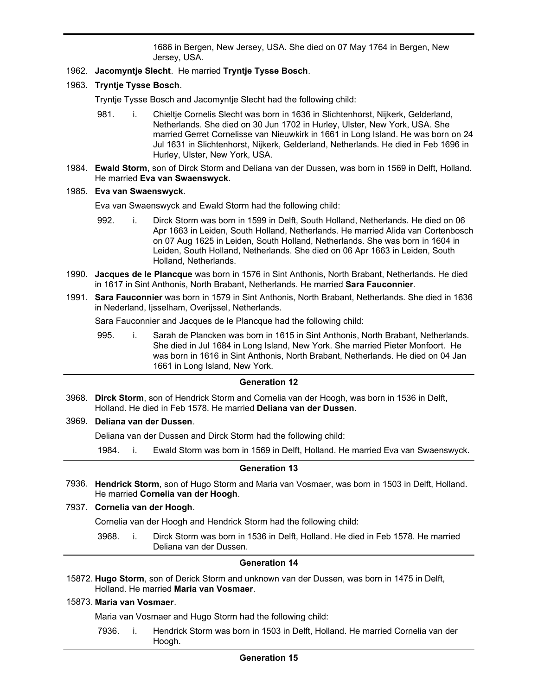USA. He married Anna Lubi on 14 Dec 1670. He married Catryna Paulus on 15 Aug 1686 in Bergen, New Jersey, USA. She died on 07 May 1764 in Bergen, New Jersey, USA.

- 1962. **Jacomyntje Slecht**. He married **Tryntje Tysse Bosch**.
- 1963. **Tryntje Tysse Bosch**.

Tryntje Tysse Bosch and Jacomyntje Slecht had the following child:

- 981. i. Chieltje Cornelis Slecht was born in 1636 in Slichtenhorst, Nijkerk, Gelderland, Netherlands. She died on 30 Jun 1702 in Hurley, Ulster, New York, USA. She married Gerret Cornelisse van Nieuwkirk in 1661 in Long Island. He was born on 24 Jul 1631 in Slichtenhorst, Nijkerk, Gelderland, Netherlands. He died in Feb 1696 in Hurley, Ulster, New York, USA.
- **Ewald Storm**, son of Dirck Storm and Deliana van der Dussen, was born in 1569 in Delft, Holland. 1984. He married **Eva van Swaenswyck**.

#### 1985. **Eva van Swaenswyck**.

Eva van Swaenswyck and Ewald Storm had the following child:

- 992. i. Dirck Storm was born in 1599 in Delft, South Holland, Netherlands. He died on 06 Apr 1663 in Leiden, South Holland, Netherlands. He married Alida van Cortenbosch on 07 Aug 1625 in Leiden, South Holland, Netherlands. She was born in 1604 in Leiden, South Holland, Netherlands. She died on 06 Apr 1663 in Leiden, South Holland, Netherlands.
- **Jacques de le Plancque** was born in 1576 in Sint Anthonis, North Brabant, Netherlands. He died 1990. in 1617 in Sint Anthonis, North Brabant, Netherlands. He married **Sara Fauconnier**.
- **Sara Fauconnier** was born in 1579 in Sint Anthonis, North Brabant, Netherlands. She died in 1636 1991. in Nederland, Ijsselham, Overijssel, Netherlands.

Sara Fauconnier and Jacques de le Plancque had the following child:

995. i. Sarah de Plancken was born in 1615 in Sint Anthonis, North Brabant, Netherlands. She died in Jul 1684 in Long Island, New York. She married Pieter Monfoort. He was born in 1616 in Sint Anthonis, North Brabant, Netherlands. He died on 04 Jan 1661 in Long Island, New York.

## **Generation 12**

**Dirck Storm**, son of Hendrick Storm and Cornelia van der Hoogh, was born in 1536 in Delft, 3968. Holland. He died in Feb 1578. He married **Deliana van der Dussen**.

#### 3969. **Deliana van der Dussen**.

Deliana van der Dussen and Dirck Storm had the following child:

1984. i. Ewald Storm was born in 1569 in Delft, Holland. He married Eva van Swaenswyck.

#### **Generation 13**

**Hendrick Storm**, son of Hugo Storm and Maria van Vosmaer, was born in 1503 in Delft, Holland. 7936. He married **Cornelia van der Hoogh**.

#### 7937. **Cornelia van der Hoogh**.

Cornelia van der Hoogh and Hendrick Storm had the following child:

3968. i. Dirck Storm was born in 1536 in Delft, Holland. He died in Feb 1578. He married Deliana van der Dussen.

## **Generation 14**

15872. Hugo Storm, son of Derick Storm and unknown van der Dussen, was born in 1475 in Delft, Holland. He married **Maria van Vosmaer**.

## 15873. **Maria van Vosmaer**.

Maria van Vosmaer and Hugo Storm had the following child:

7936. i. Hendrick Storm was born in 1503 in Delft, Holland. He married Cornelia van der Hoogh.